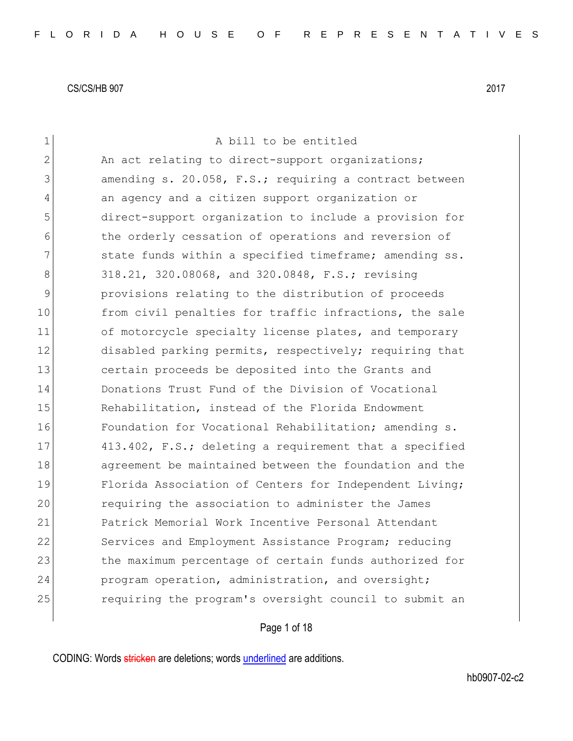| $\mathbf 1$    | A bill to be entitled                                  |
|----------------|--------------------------------------------------------|
| $\overline{2}$ | An act relating to direct-support organizations;       |
| 3              | amending s. 20.058, F.S.; requiring a contract between |
| 4              | an agency and a citizen support organization or        |
| 5              | direct-support organization to include a provision for |
| 6              | the orderly cessation of operations and reversion of   |
| 7              | state funds within a specified timeframe; amending ss. |
| 8              | 318.21, 320.08068, and 320.0848, F.S.; revising        |
| 9              | provisions relating to the distribution of proceeds    |
| 10             | from civil penalties for traffic infractions, the sale |
| 11             | of motorcycle specialty license plates, and temporary  |
| 12             | disabled parking permits, respectively; requiring that |
| 13             | certain proceeds be deposited into the Grants and      |
| 14             | Donations Trust Fund of the Division of Vocational     |
| 15             | Rehabilitation, instead of the Florida Endowment       |
| 16             | Foundation for Vocational Rehabilitation; amending s.  |
| 17             | 413.402, F.S.; deleting a requirement that a specified |
| 18             | agreement be maintained between the foundation and the |
| 19             | Florida Association of Centers for Independent Living; |
| 20             | requiring the association to administer the James      |
| 21             | Patrick Memorial Work Incentive Personal Attendant     |
| 22             | Services and Employment Assistance Program; reducing   |
| 23             | the maximum percentage of certain funds authorized for |
| 24             | program operation, administration, and oversight;      |
| 25             | requiring the program's oversight council to submit an |
|                |                                                        |

# Page 1 of 18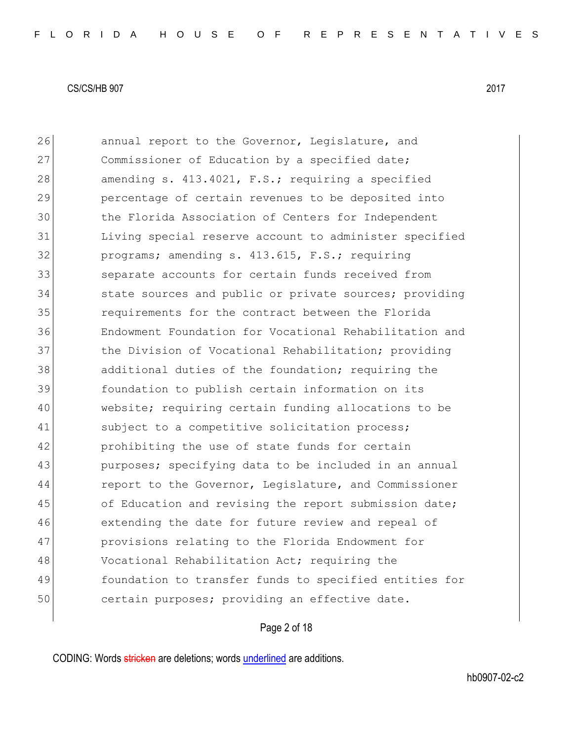26 annual report to the Governor, Legislature, and 27 Commissioner of Education by a specified date; 28 amending s. 413.4021, F.S.; requiring a specified 29 percentage of certain revenues to be deposited into 30 the Florida Association of Centers for Independent 31 Living special reserve account to administer specified 32 programs; amending s. 413.615, F.S.; requiring 33 separate accounts for certain funds received from 34 state sources and public or private sources; providing 35 requirements for the contract between the Florida 36 Endowment Foundation for Vocational Rehabilitation and 37 the Division of Vocational Rehabilitation; providing 38 additional duties of the foundation; requiring the 39 foundation to publish certain information on its 40 website; requiring certain funding allocations to be 41 Subject to a competitive solicitation process; 42 prohibiting the use of state funds for certain 43 purposes; specifying data to be included in an annual 44 report to the Governor, Legislature, and Commissioner 45 of Education and revising the report submission date; 46 extending the date for future review and repeal of 47 provisions relating to the Florida Endowment for 48 Vocational Rehabilitation Act; requiring the 49 foundation to transfer funds to specified entities for 50 certain purposes; providing an effective date.

## Page 2 of 18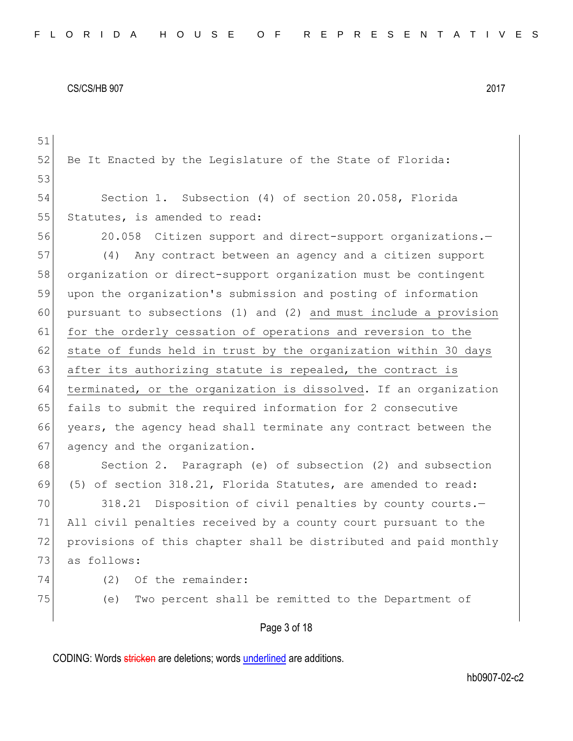| 51 |                                                                  |
|----|------------------------------------------------------------------|
| 52 | Be It Enacted by the Leqislature of the State of Florida:        |
| 53 |                                                                  |
| 54 | Section 1. Subsection (4) of section 20.058, Florida             |
| 55 | Statutes, is amended to read:                                    |
| 56 | 20.058 Citizen support and direct-support organizations.-        |
| 57 | Any contract between an agency and a citizen support<br>(4)      |
| 58 | organization or direct-support organization must be contingent   |
| 59 | upon the organization's submission and posting of information    |
| 60 | pursuant to subsections (1) and (2) and must include a provision |
| 61 | for the orderly cessation of operations and reversion to the     |
| 62 | state of funds held in trust by the organization within 30 days  |
| 63 | after its authorizing statute is repealed, the contract is       |
| 64 | terminated, or the organization is dissolved. If an organization |
| 65 | fails to submit the required information for 2 consecutive       |
| 66 | years, the agency head shall terminate any contract between the  |
| 67 | agency and the organization.                                     |
| 68 | Section 2. Paragraph (e) of subsection (2) and subsection        |
| 69 | (5) of section 318.21, Florida Statutes, are amended to read:    |
| 70 | Disposition of civil penalties by county courts.-<br>318.21      |
| 71 | All civil penalties received by a county court pursuant to the   |
| 72 | provisions of this chapter shall be distributed and paid monthly |
| 73 | as follows:                                                      |
| 74 | (2)<br>Of the remainder:                                         |
| 75 | Two percent shall be remitted to the Department of<br>(e)        |
|    | Page 3 of 18                                                     |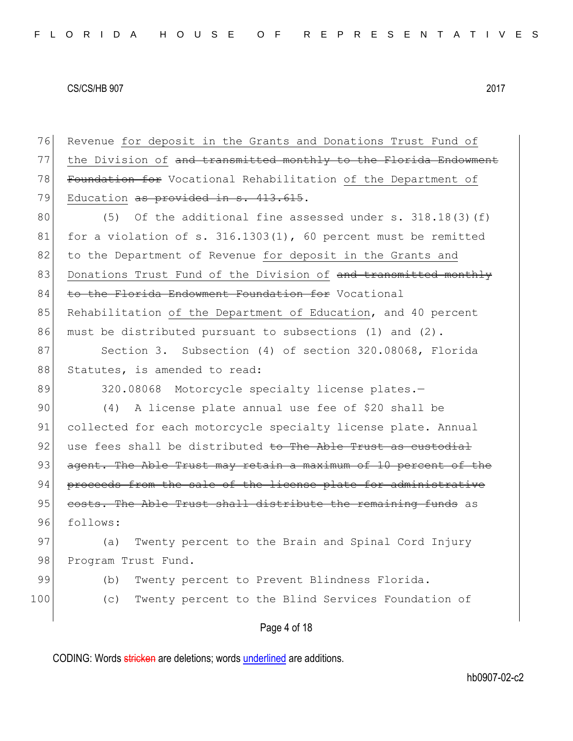Page 4 of 18 76 Revenue for deposit in the Grants and Donations Trust Fund of 77 the Division of and transmitted monthly to the Florida Endowment 78 Foundation for Vocational Rehabilitation of the Department of 79 Education as provided in s. 413.615. 80  $(5)$  Of the additional fine assessed under s. 318.18(3)(f) 81 for a violation of s. 316.1303(1), 60 percent must be remitted 82 to the Department of Revenue for deposit in the Grants and 83 Donations Trust Fund of the Division of and transmitted monthly 84 to the Florida Endowment Foundation for Vocational 85 Rehabilitation of the Department of Education, and 40 percent 86 must be distributed pursuant to subsections (1) and (2). 87 Section 3. Subsection (4) of section 320.08068, Florida 88 Statutes, is amended to read: 89 320.08068 Motorcycle specialty license plates. 90 (4) A license plate annual use fee of \$20 shall be 91 collected for each motorcycle specialty license plate. Annual 92 use fees shall be distributed to The Able Trust as custodial 93 agent. The Able Trust may retain a maximum of 10 percent of the 94 proceeds from the sale of the license plate for administrative 95 costs. The Able Trust shall distribute the remaining funds as 96 follows: 97 (a) Twenty percent to the Brain and Spinal Cord Injury 98 Program Trust Fund. 99 (b) Twenty percent to Prevent Blindness Florida. 100 (c) Twenty percent to the Blind Services Foundation of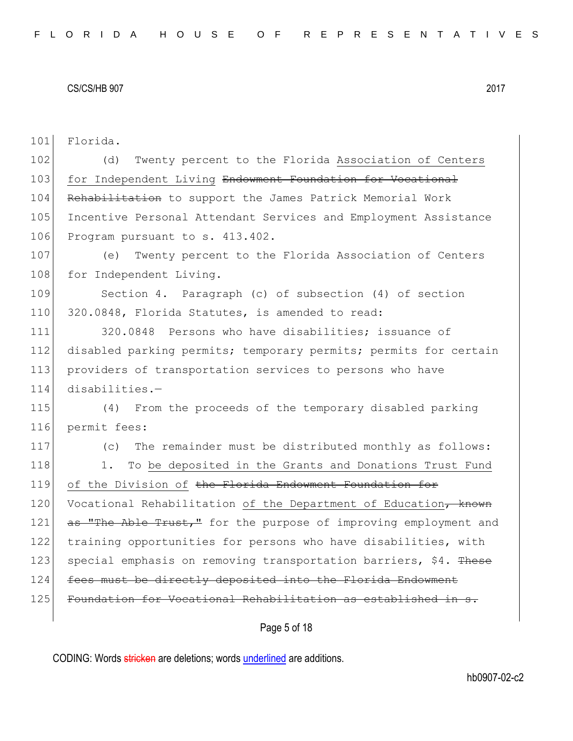101 Florida.

102 (d) Twenty percent to the Florida Association of Centers 103 for Independent Living Endowment Foundation for Vocational 104 Rehabilitation to support the James Patrick Memorial Work 105 Incentive Personal Attendant Services and Employment Assistance 106 Program pursuant to s. 413.402.

107 (e) Twenty percent to the Florida Association of Centers 108 for Independent Living.

109 Section 4. Paragraph (c) of subsection (4) of section 110 320.0848, Florida Statutes, is amended to read:

111 320.0848 Persons who have disabilities; issuance of 112 disabled parking permits; temporary permits; permits for certain 113 providers of transportation services to persons who have 114 disabilities.—

115 (4) From the proceeds of the temporary disabled parking 116 permit fees:

117 (c) The remainder must be distributed monthly as follows: 118 1. To be deposited in the Grants and Donations Trust Fund 119 of the Division of the Florida Endowment Foundation for 120 Vocational Rehabilitation of the Department of Education, known 121 as "The Able Trust," for the purpose of improving employment and 122 training opportunities for persons who have disabilities, with 123 special emphasis on removing transportation barriers, \$4. These 124 fees must be directly deposited into the Florida Endowment 125 Foundation for Vocational Rehabilitation as established in s.

Page 5 of 18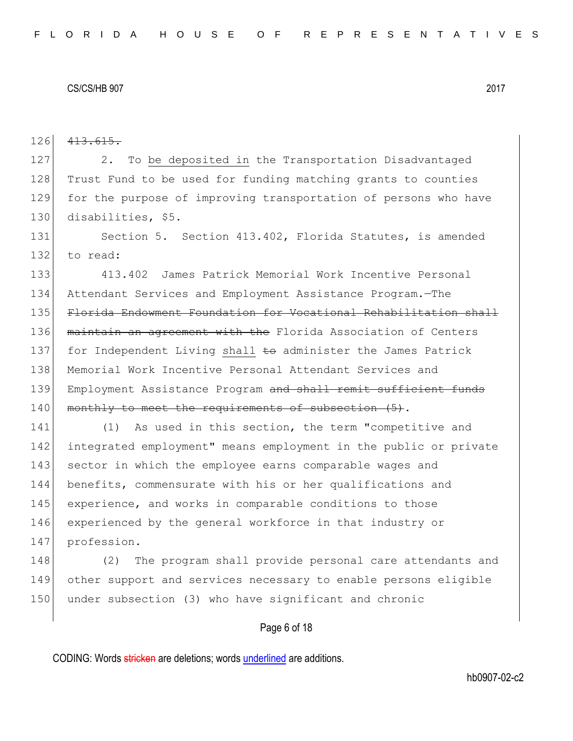126 413.615. 127 2. To be deposited in the Transportation Disadvantaged 128 Trust Fund to be used for funding matching grants to counties 129 for the purpose of improving transportation of persons who have 130 disabilities, \$5. 131 Section 5. Section 413.402, Florida Statutes, is amended

132 to read:

 413.402 James Patrick Memorial Work Incentive Personal Attendant Services and Employment Assistance Program.—The Florida Endowment Foundation for Vocational Rehabilitation shall 136 maintain an agreement with the Florida Association of Centers 137 for Independent Living shall to administer the James Patrick Memorial Work Incentive Personal Attendant Services and 139 Employment Assistance Program and shall remit sufficient funds monthly to meet the requirements of subsection  $(5)$ .

141 (1) As used in this section, the term "competitive and 142 integrated employment" means employment in the public or private 143 sector in which the employee earns comparable wages and 144 benefits, commensurate with his or her qualifications and 145 experience, and works in comparable conditions to those 146 experienced by the general workforce in that industry or 147 profession.

148 (2) The program shall provide personal care attendants and 149 other support and services necessary to enable persons eligible 150 under subsection (3) who have significant and chronic

# Page 6 of 18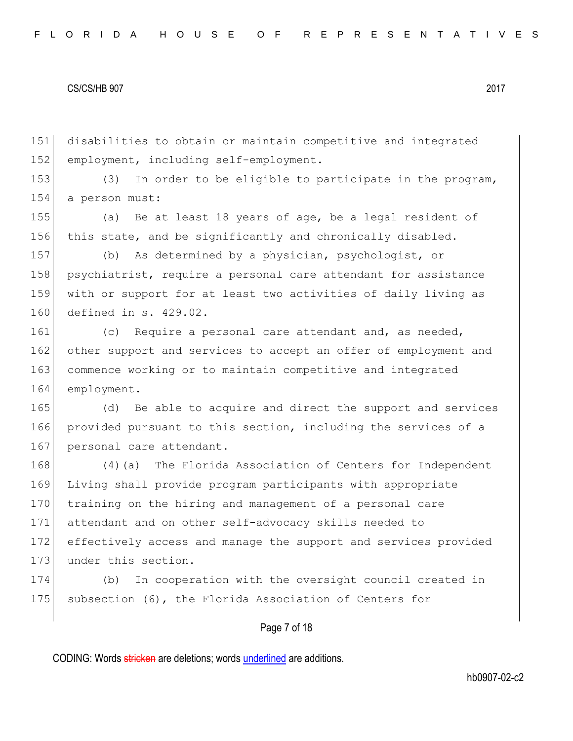151 disabilities to obtain or maintain competitive and integrated 152 employment, including self-employment.

153 (3) In order to be eligible to participate in the program, 154 a person must:

155 (a) Be at least 18 years of age, be a legal resident of 156 this state, and be significantly and chronically disabled.

157 (b) As determined by a physician, psychologist, or 158 psychiatrist, require a personal care attendant for assistance 159 with or support for at least two activities of daily living as 160 defined in s. 429.02.

161 (c) Require a personal care attendant and, as needed, 162 other support and services to accept an offer of employment and 163 commence working or to maintain competitive and integrated 164 employment.

165 (d) Be able to acquire and direct the support and services 166 provided pursuant to this section, including the services of a 167 personal care attendant.

168 (4) (a) The Florida Association of Centers for Independent 169 Living shall provide program participants with appropriate 170 training on the hiring and management of a personal care 171 attendant and on other self-advocacy skills needed to 172 effectively access and manage the support and services provided 173 under this section.

174 (b) In cooperation with the oversight council created in 175 subsection (6), the Florida Association of Centers for

# Page 7 of 18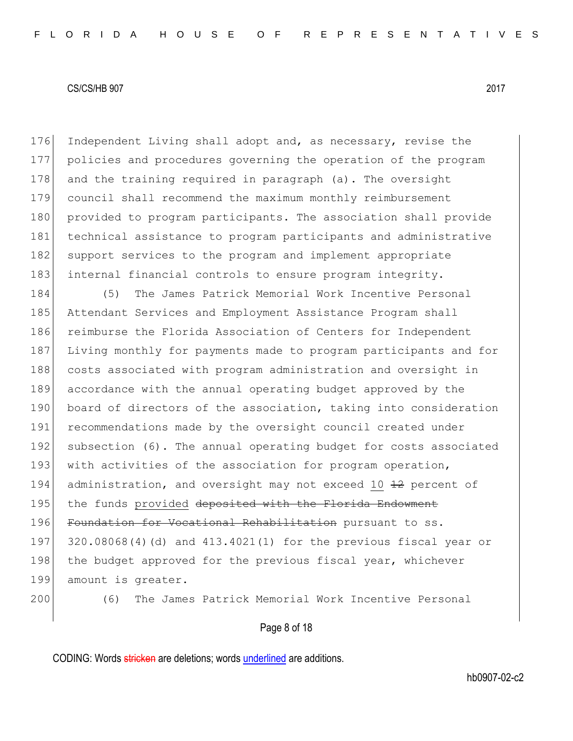176 Independent Living shall adopt and, as necessary, revise the 177 policies and procedures governing the operation of the program 178 and the training required in paragraph (a). The oversight 179 council shall recommend the maximum monthly reimbursement 180 provided to program participants. The association shall provide 181 technical assistance to program participants and administrative 182 support services to the program and implement appropriate 183 internal financial controls to ensure program integrity.

184 (5) The James Patrick Memorial Work Incentive Personal 185 Attendant Services and Employment Assistance Program shall 186 reimburse the Florida Association of Centers for Independent 187 Living monthly for payments made to program participants and for 188 costs associated with program administration and oversight in 189 accordance with the annual operating budget approved by the 190 board of directors of the association, taking into consideration 191 recommendations made by the oversight council created under 192 subsection (6). The annual operating budget for costs associated 193 with activities of the association for program operation, 194 administration, and oversight may not exceed 10  $\pm$ 2 percent of 195 the funds provided deposited with the Florida Endowment 196 Foundation for Vocational Rehabilitation pursuant to ss. 197 320.08068(4)(d) and 413.4021(1) for the previous fiscal year or 198 the budget approved for the previous fiscal year, whichever 199 amount is greater.

200 (6) The James Patrick Memorial Work Incentive Personal

Page 8 of 18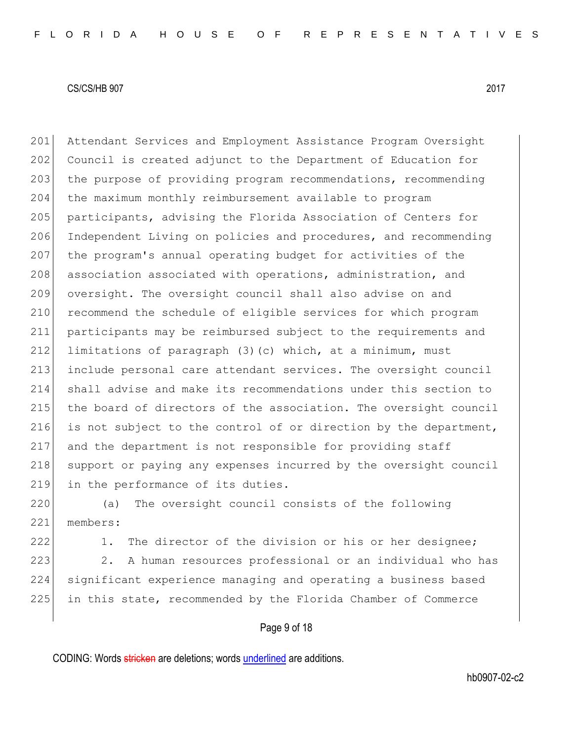201 Attendant Services and Employment Assistance Program Oversight 202 Council is created adjunct to the Department of Education for 203 the purpose of providing program recommendations, recommending 204 the maximum monthly reimbursement available to program 205 participants, advising the Florida Association of Centers for 206 Independent Living on policies and procedures, and recommending 207 the program's annual operating budget for activities of the 208 association associated with operations, administration, and 209 oversight. The oversight council shall also advise on and 210 recommend the schedule of eligible services for which program 211 participants may be reimbursed subject to the requirements and 212 limitations of paragraph (3)(c) which, at a minimum, must 213 include personal care attendant services. The oversight council 214 shall advise and make its recommendations under this section to 215 the board of directors of the association. The oversight council 216 is not subject to the control of or direction by the department, 217 and the department is not responsible for providing staff 218 support or paying any expenses incurred by the oversight council 219 in the performance of its duties.

220 (a) The oversight council consists of the following 221 members:

222 1. The director of the division or his or her designee;

223 2. A human resources professional or an individual who has 224 significant experience managing and operating a business based 225 in this state, recommended by the Florida Chamber of Commerce

# Page 9 of 18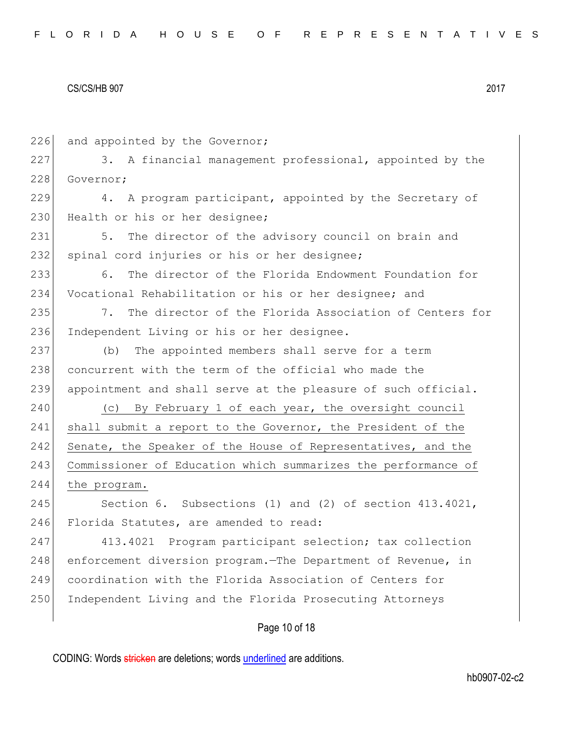226 and appointed by the Governor; 227 3. A financial management professional, appointed by the 228 Governor; 229 4. A program participant, appointed by the Secretary of 230 Health or his or her designee; 231 5. The director of the advisory council on brain and 232 spinal cord injuries or his or her designee; 233 6. The director of the Florida Endowment Foundation for 234 Vocational Rehabilitation or his or her designee; and 235 7. The director of the Florida Association of Centers for 236 Independent Living or his or her designee. 237 (b) The appointed members shall serve for a term 238 concurrent with the term of the official who made the 239 appointment and shall serve at the pleasure of such official. 240 (c) By February 1 of each year, the oversight council 241 shall submit a report to the Governor, the President of the 242 Senate, the Speaker of the House of Representatives, and the 243 Commissioner of Education which summarizes the performance of 244 the program. 245 Section 6. Subsections (1) and (2) of section 413.4021, 246 Florida Statutes, are amended to read: 247 413.4021 Program participant selection; tax collection 248 enforcement diversion program. The Department of Revenue, in 249 coordination with the Florida Association of Centers for 250 Independent Living and the Florida Prosecuting Attorneys

Page 10 of 18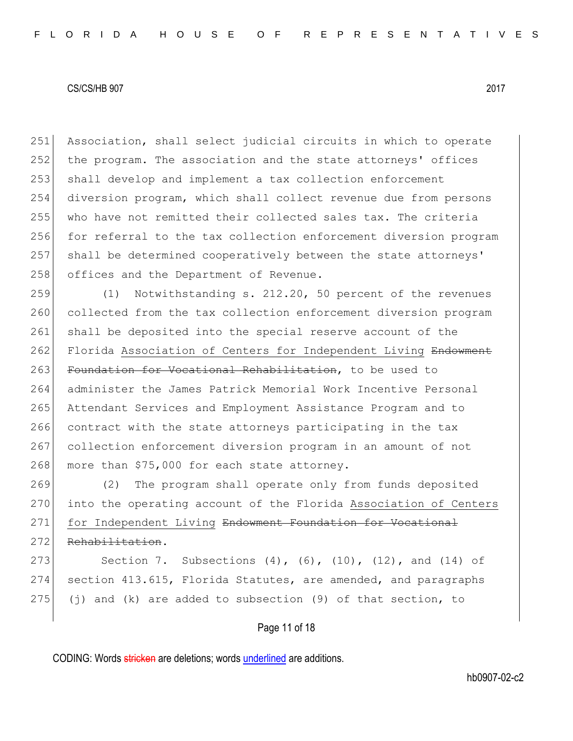Association, shall select judicial circuits in which to operate 252 the program. The association and the state attorneys' offices shall develop and implement a tax collection enforcement diversion program, which shall collect revenue due from persons who have not remitted their collected sales tax. The criteria 256 for referral to the tax collection enforcement diversion program shall be determined cooperatively between the state attorneys' 258 offices and the Department of Revenue.

259 (1) Notwithstanding s. 212.20, 50 percent of the revenues 260 collected from the tax collection enforcement diversion program 261 shall be deposited into the special reserve account of the 262 Florida Association of Centers for Independent Living Endowment 263 Foundation for Vocational Rehabilitation, to be used to 264 administer the James Patrick Memorial Work Incentive Personal 265 Attendant Services and Employment Assistance Program and to 266 contract with the state attorneys participating in the tax 267 collection enforcement diversion program in an amount of not 268 more than  $$75,000$  for each state attorney.

269 (2) The program shall operate only from funds deposited 270 into the operating account of the Florida Association of Centers 271 for Independent Living Endowment Foundation for Vocational

272 Rehabilitation.

273 Section 7. Subsections (4), (6), (10), (12), and (14) of 274 section 413.615, Florida Statutes, are amended, and paragraphs 275 (j) and (k) are added to subsection (9) of that section, to

# Page 11 of 18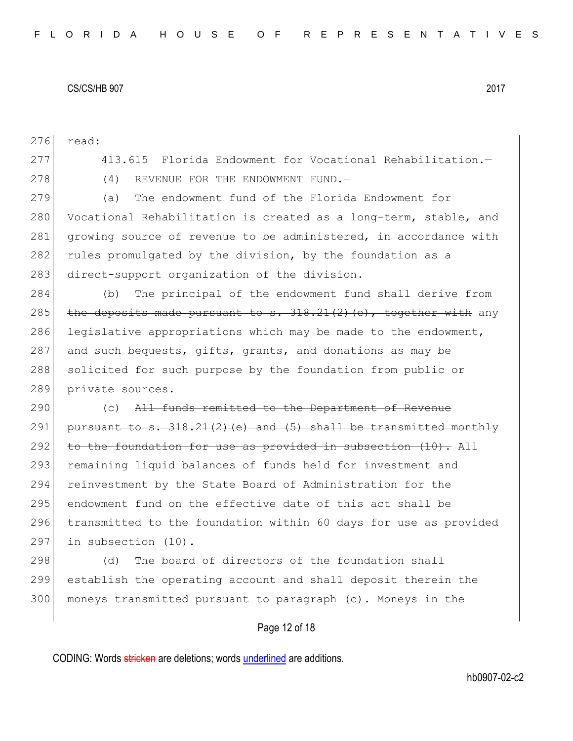276 read:

277 413.615 Florida Endowment for Vocational Rehabilitation.— 278 (4) REVENUE FOR THE ENDOWMENT FUND. 279 (a) The endowment fund of the Florida Endowment for 280 Vocational Rehabilitation is created as a long-term, stable, and 281 growing source of revenue to be administered, in accordance with 282 rules promulgated by the division, by the foundation as a 283 direct-support organization of the division. 284 (b) The principal of the endowment fund shall derive from 285 the deposits made pursuant to  $s. 318.21(2)$  (e), together with any 286 legislative appropriations which may be made to the endowment, 287 and such bequests, gifts, grants, and donations as may be 288 solicited for such purpose by the foundation from public or 289 private sources. 290 (c) All funds remitted to the Department of Revenue 291 pursuant to s.  $318.21(2)(e)$  and  $(5)$  shall be transmitted monthly

292 to the foundation for use as provided in subsection (10). All 293 remaining liquid balances of funds held for investment and 294 reinvestment by the State Board of Administration for the 295 endowment fund on the effective date of this act shall be 296 transmitted to the foundation within 60 days for use as provided 297 in subsection (10).

298 (d) The board of directors of the foundation shall 299 establish the operating account and shall deposit therein the 300 moneys transmitted pursuant to paragraph (c). Moneys in the

# Page 12 of 18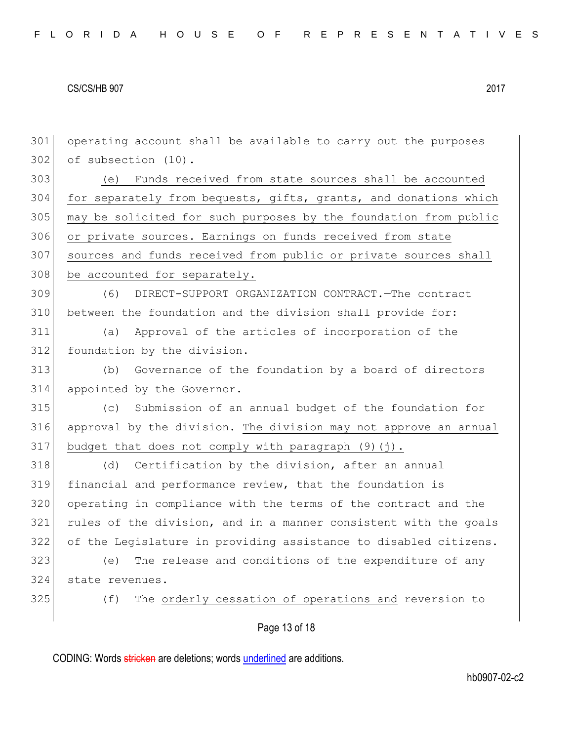operating account shall be available to carry out the purposes of subsection (10). (e) Funds received from state sources shall be accounted 304 for separately from bequests, gifts, grants, and donations which may be solicited for such purposes by the foundation from public 306 or private sources. Earnings on funds received from state 307 sources and funds received from public or private sources shall 308 be accounted for separately. (6) DIRECT-SUPPORT ORGANIZATION CONTRACT.—The contract between the foundation and the division shall provide for: (a) Approval of the articles of incorporation of the 312 foundation by the division. (b) Governance of the foundation by a board of directors appointed by the Governor. (c) Submission of an annual budget of the foundation for 316 approval by the division. The division may not approve an annual 317 budget that does not comply with paragraph  $(9)(j)$ . 318 (d) Certification by the division, after an annual financial and performance review, that the foundation is operating in compliance with the terms of the contract and the rules of the division, and in a manner consistent with the goals of the Legislature in providing assistance to disabled citizens. (e) The release and conditions of the expenditure of any state revenues. 325 (f) The orderly cessation of operations and reversion to

Page 13 of 18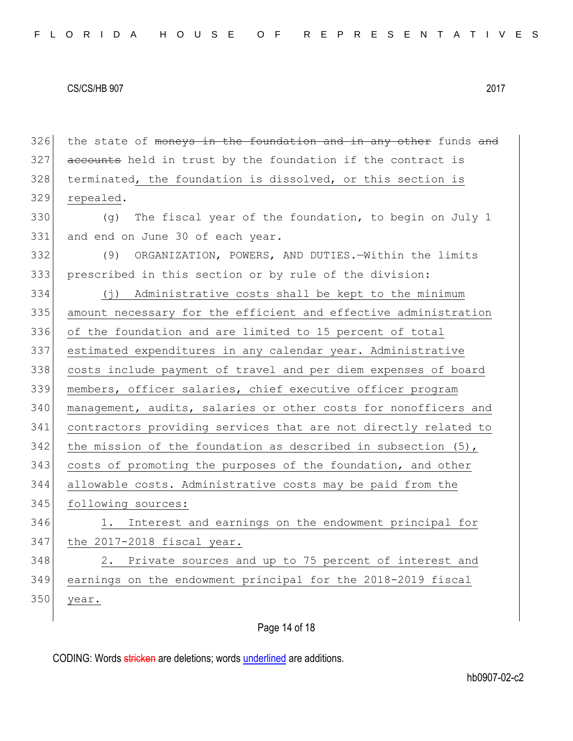$326$  the state of moneys in the foundation and in any other funds and  $327$  accounts held in trust by the foundation if the contract is 328 terminated, the foundation is dissolved, or this section is 329 repealed. 330 (g) The fiscal year of the foundation, to begin on July 1 331 and end on June 30 of each year. 332 (9) ORGANIZATION, POWERS, AND DUTIES.—Within the limits 333 prescribed in this section or by rule of the division: 334 (j) Administrative costs shall be kept to the minimum 335 amount necessary for the efficient and effective administration 336 of the foundation and are limited to 15 percent of total 337 estimated expenditures in any calendar year. Administrative 338 costs include payment of travel and per diem expenses of board 339 members, officer salaries, chief executive officer program 340 management, audits, salaries or other costs for nonofficers and 341 contractors providing services that are not directly related to 342 the mission of the foundation as described in subsection  $(5)$ , 343 costs of promoting the purposes of the foundation, and other 344 allowable costs. Administrative costs may be paid from the 345 following sources: 346 1. Interest and earnings on the endowment principal for 347 the 2017-2018 fiscal year. 348 2. Private sources and up to 75 percent of interest and 349 earnings on the endowment principal for the 2018-2019 fiscal 350 year.

# Page 14 of 18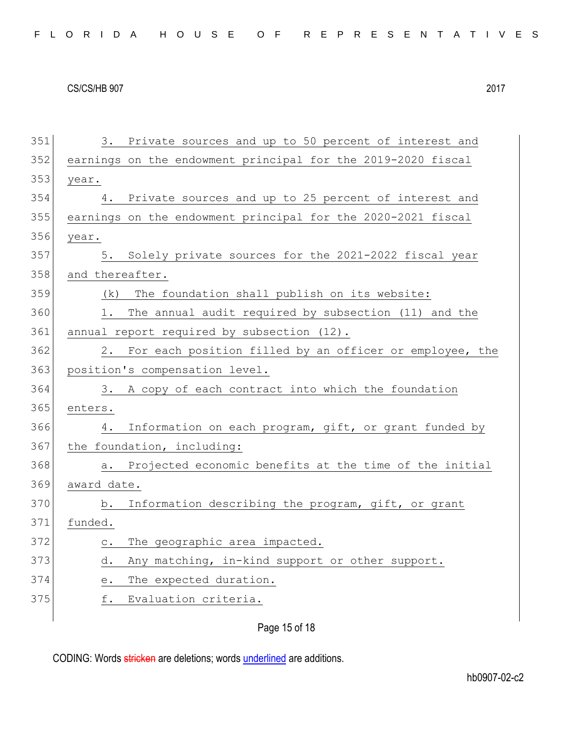| 351 | 3. Private sources and up to 50 percent of interest and                                        |
|-----|------------------------------------------------------------------------------------------------|
| 352 | earnings on the endowment principal for the 2019-2020 fiscal                                   |
| 353 | year.                                                                                          |
| 354 | Private sources and up to 25 percent of interest and<br>4.                                     |
| 355 | earnings on the endowment principal for the 2020-2021 fiscal                                   |
| 356 | year.                                                                                          |
| 357 | Solely private sources for the 2021-2022 fiscal year<br>5.                                     |
| 358 | and thereafter.                                                                                |
| 359 | The foundation shall publish on its website:<br>(k)                                            |
| 360 | The annual audit required by subsection (11) and the<br>1.                                     |
| 361 | annual report required by subsection (12).                                                     |
| 362 | 2. For each position filled by an officer or employee, the                                     |
| 363 | position's compensation level.                                                                 |
| 364 | 3. A copy of each contract into which the foundation                                           |
| 365 | enters.                                                                                        |
| 366 | Information on each program, gift, or grant funded by<br>4.                                    |
| 367 | the foundation, including:                                                                     |
| 368 | Projected economic benefits at the time of the initial<br>a.                                   |
| 369 | award date.                                                                                    |
| 370 | Information describing the program, gift, or grant<br>b.                                       |
| 371 | funded.                                                                                        |
| 372 | The geographic area impacted.<br>$\mathtt{C}$ .                                                |
| 373 | Any matching, in-kind support or other support.<br>d.                                          |
| 374 | The expected duration.<br>$\mathrel{\mathop{\text{e}}\mathrel{\mathop{\text{--}}\nolimits}}$ . |
| 375 | f.<br>Evaluation criteria.                                                                     |
|     |                                                                                                |

Page 15 of 18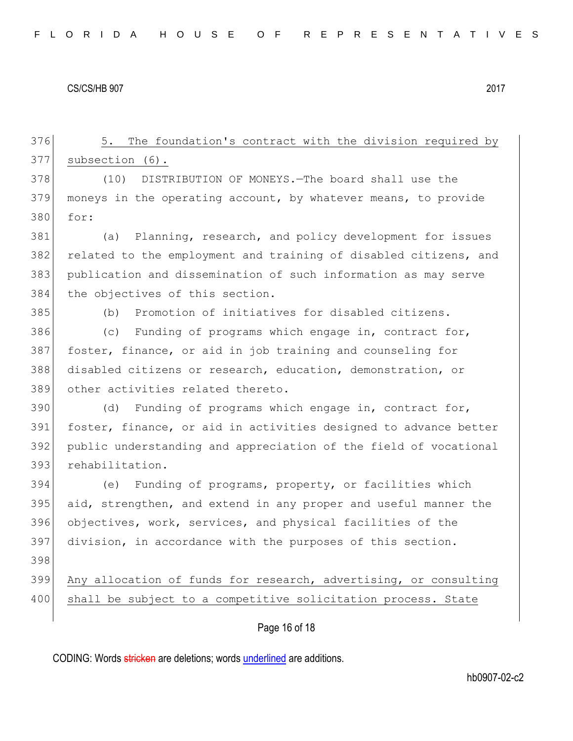Page 16 of 18 376 5. The foundation's contract with the division required by 377 subsection (6). 378 (10) DISTRIBUTION OF MONEYS.—The board shall use the 379 moneys in the operating account, by whatever means, to provide 380 for: 381 (a) Planning, research, and policy development for issues 382 related to the employment and training of disabled citizens, and 383 publication and dissemination of such information as may serve 384 the objectives of this section. 385 (b) Promotion of initiatives for disabled citizens. 386 (c) Funding of programs which engage in, contract for, 387 foster, finance, or aid in job training and counseling for 388 disabled citizens or research, education, demonstration, or 389 other activities related thereto. 390 (d) Funding of programs which engage in, contract for, 391 foster, finance, or aid in activities designed to advance better 392 public understanding and appreciation of the field of vocational 393 rehabilitation. 394 (e) Funding of programs, property, or facilities which 395 aid, strengthen, and extend in any proper and useful manner the 396 objectives, work, services, and physical facilities of the 397 division, in accordance with the purposes of this section. 398 399 Any allocation of funds for research, advertising, or consulting 400 shall be subject to a competitive solicitation process. State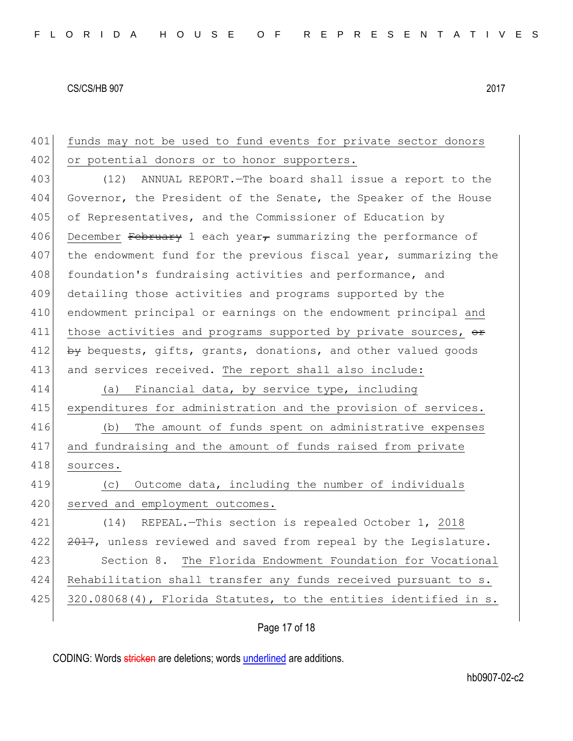| 401 | funds may not be used to fund events for private sector donors         |
|-----|------------------------------------------------------------------------|
| 402 | or potential donors or to honor supporters.                            |
| 403 | (12) ANNUAL REPORT. - The board shall issue a report to the            |
| 404 | Governor, the President of the Senate, the Speaker of the House        |
| 405 | of Representatives, and the Commissioner of Education by               |
| 406 | December February 1 each year $_{\tau}$ summarizing the performance of |
| 407 | the endowment fund for the previous fiscal year, summarizing the       |
| 408 | foundation's fundraising activities and performance, and               |
| 409 | detailing those activities and programs supported by the               |
| 410 | endowment principal or earnings on the endowment principal and         |
| 411 | those activities and programs supported by private sources, or         |
| 412 | by bequests, gifts, grants, donations, and other valued goods          |
| 413 | and services received. The report shall also include:                  |
|     |                                                                        |
| 414 | (a) Financial data, by service type, including                         |
| 415 | expenditures for administration and the provision of services.         |
| 416 | The amount of funds spent on administrative expenses<br>(b)            |
| 417 | and fundraising and the amount of funds raised from private            |
| 418 | sources.                                                               |
| 419 | Outcome data, including the number of individuals<br>(C)               |
| 420 | served and employment outcomes.                                        |
| 421 | REPEAL.-This section is repealed October 1, 2018<br>(14)               |
| 422 | 2017, unless reviewed and saved from repeal by the Legislature.        |
| 423 | Section 8. The Florida Endowment Foundation for Vocational             |
| 424 | Rehabilitation shall transfer any funds received pursuant to s.        |
| 425 | 320.08068(4), Florida Statutes, to the entities identified in s.       |

# Page 17 of 18